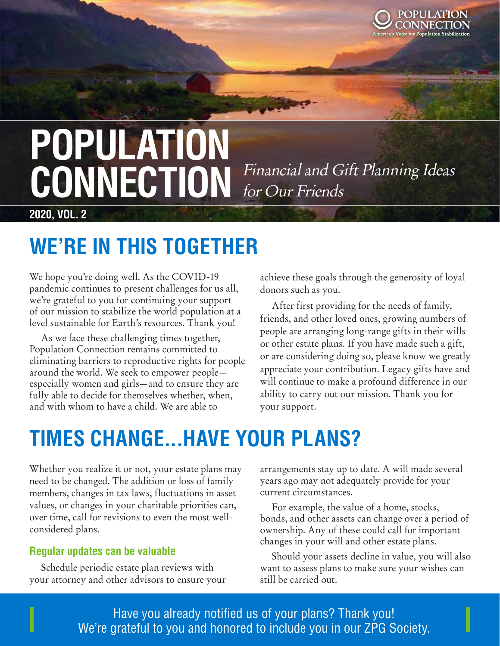

# **POPULATION**  CONNECTION Financial and Gift Planning Ideas for Our Friends

**2020, VOL. 2**

### **WE'RE IN THIS TOGETHER**

We hope you're doing well. As the COVID-19 pandemic continues to present challenges for us all, we're grateful to you for continuing your support of our mission to stabilize the world population at a level sustainable for Earth's resources. Thank you!

As we face these challenging times together, Population Connection remains committed to eliminating barriers to reproductive rights for people around the world. We seek to empower people especially women and girls—and to ensure they are fully able to decide for themselves whether, when, and with whom to have a child. We are able to

achieve these goals through the generosity of loyal donors such as you.

After first providing for the needs of family, friends, and other loved ones, growing numbers of people are arranging long-range gifts in their wills or other estate plans. If you have made such a gift, or are considering doing so, please know we greatly appreciate your contribution. Legacy gifts have and will continue to make a profound difference in our ability to carry out our mission. Thank you for your support.

## **TIMES CHANGE...HAVE YOUR PLANS?**

Whether you realize it or not, your estate plans may need to be changed. The addition or loss of family members, changes in tax laws, fluctuations in asset values, or changes in your charitable priorities can, over time, call for revisions to even the most wellconsidered plans.

#### **Regular updates can be valuable**

Schedule periodic estate plan reviews with your attorney and other advisors to ensure your arrangements stay up to date. A will made several years ago may not adequately provide for your current circumstances.

For example, the value of a home, stocks, bonds, and other assets can change over a period of ownership. Any of these could call for important changes in your will and other estate plans.

Should your assets decline in value, you will also want to assess plans to make sure your wishes can still be carried out.

 $\blacksquare$  Ercilians of volor same dominate verture verture  $\blacksquare$  . Thank you! **Except aliciative Susande Susande Susan**de Susande Society. We're grateful to you and honored to include you in our ZPG Society.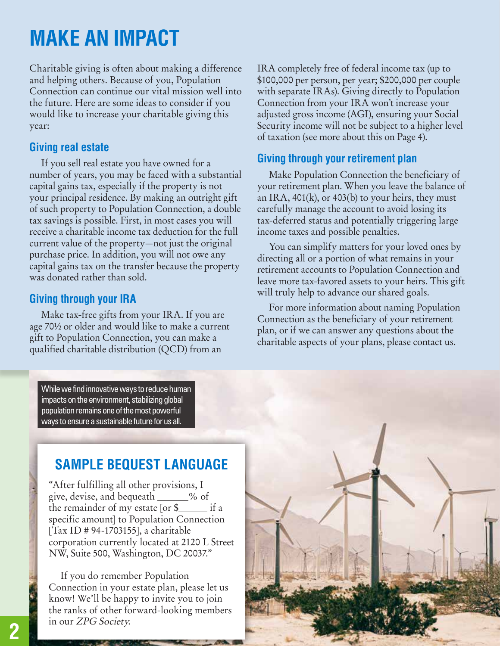### **MAKE AN IMPACT**

Charitable giving is often about making a difference and helping others. Because of you, Population Connection can continue our vital mission well into the future. Here are some ideas to consider if you would like to increase your charitable giving this year:

#### **Giving real estate**

If you sell real estate you have owned for a number of years, you may be faced with a substantial capital gains tax, especially if the property is not your principal residence. By making an outright gift of such property to Population Connection, a double tax savings is possible. First, in most cases you will receive a charitable income tax deduction for the full current value of the property—not just the original purchase price. In addition, you will not owe any capital gains tax on the transfer because the property was donated rather than sold.

#### **Giving through your IRA**

Make tax-free gifts from your IRA. If you are age 70½ or older and would like to make a current gift to Population Connection, you can make a qualified charitable distribution (QCD) from an

IRA completely free of federal income tax (up to \$100,000 per person, per year; \$200,000 per couple with separate IRAs). Giving directly to Population Connection from your IRA won't increase your adjusted gross income (AGI), ensuring your Social Security income will not be subject to a higher level of taxation (see more about this on Page 4).

#### **Giving through your retirement plan**

Make Population Connection the beneficiary of your retirement plan. When you leave the balance of an IRA,  $401(k)$ , or  $403(b)$  to your heirs, they must carefully manage the account to avoid losing its tax-deferred status and potentially triggering large income taxes and possible penalties.

You can simplify matters for your loved ones by directing all or a portion of what remains in your retirement accounts to Population Connection and leave more tax-favored assets to your heirs. This gift will truly help to advance our shared goals.

For more information about naming Population Connection as the beneficiary of your retirement plan, or if we can answer any questions about the charitable aspects of your plans, please contact us.



While we find innovative ways to reduce human impacts on the environment, stabilizing global population remains one of the most powerful ways to ensure a sustainable future for us all.

### **SAMPLE BEQUEST LANGUAGE**

"After fulfilling all other provisions, I give, devise, and bequeath \_\_\_\_\_% of the remainder of my estate  $[or$  \$ $\rule{1em}{0.15mm}$  if a specific amount] to Population Connection [Tax ID # 94-1703155], a charitable corporation currently located at 2120 L Street NW, Suite 500, Washington, DC 20037."

If you do remember Population Connection in your estate plan, please let us know! We'll be happy to invite you to join the ranks of other forward-looking members in our ZPG Society.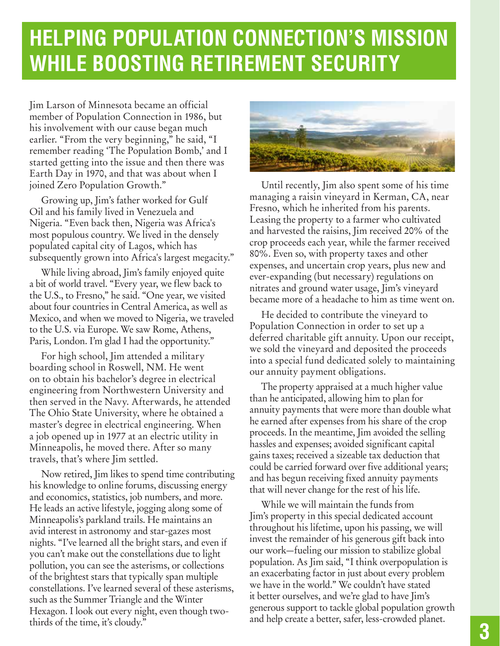## **HELPING POPULATION CONNECTION'S MISSION WHILE BOOSTING RETIREMENT SECURITY**

Jim Larson of Minnesota became an official member of Population Connection in 1986, but his involvement with our cause began much earlier. "From the very beginning," he said, "I remember reading 'The Population Bomb,' and I started getting into the issue and then there was Earth Day in 1970, and that was about when I joined Zero Population Growth."

Growing up, Jim's father worked for Gulf Oil and his family lived in Venezuela and Nigeria. "Even back then, Nigeria was Africa's most populous country. We lived in the densely populated capital city of Lagos, which has subsequently grown into Africa's largest megacity."

While living abroad, Jim's family enjoyed quite a bit of world travel. "Every year, we flew back to the U.S., to Fresno," he said. "One year, we visited about four countries in Central America, as well as Mexico, and when we moved to Nigeria, we traveled to the U.S. via Europe. We saw Rome, Athens, Paris, London. I'm glad I had the opportunity."

For high school, Jim attended a military boarding school in Roswell, NM. He went on to obtain his bachelor's degree in electrical engineering from Northwestern University and then served in the Navy. Afterwards, he attended The Ohio State University, where he obtained a master's degree in electrical engineering. When a job opened up in 1977 at an electric utility in Minneapolis, he moved there. After so many travels, that's where Jim settled.

Now retired, Jim likes to spend time contributing his knowledge to online forums, discussing energy and economics, statistics, job numbers, and more. He leads an active lifestyle, jogging along some of Minneapolis's parkland trails. He maintains an avid interest in astronomy and star-gazes most nights. "I've learned all the bright stars, and even if you can't make out the constellations due to light pollution, you can see the asterisms, or collections of the brightest stars that typically span multiple constellations. I've learned several of these asterisms, such as the Summer Triangle and the Winter Hexagon. I look out every night, even though twothirds of the time, it's cloudy."



Until recently, Jim also spent some of his time managing a raisin vineyard in Kerman, CA, near Fresno, which he inherited from his parents. Leasing the property to a farmer who cultivated and harvested the raisins, Jim received 20% of the crop proceeds each year, while the farmer received 80%. Even so, with property taxes and other expenses, and uncertain crop years, plus new and ever-expanding (but necessary) regulations on nitrates and ground water usage, Jim's vineyard became more of a headache to him as time went on.

He decided to contribute the vineyard to Population Connection in order to set up a deferred charitable gift annuity. Upon our receipt, we sold the vineyard and deposited the proceeds into a special fund dedicated solely to maintaining our annuity payment obligations.

The property appraised at a much higher value than he anticipated, allowing him to plan for annuity payments that were more than double what he earned after expenses from his share of the crop proceeds. In the meantime, Jim avoided the selling hassles and expenses; avoided significant capital gains taxes; received a sizeable tax deduction that could be carried forward over five additional years; and has begun receiving fixed annuity payments that will never change for the rest of his life.

While we will maintain the funds from Jim's property in this special dedicated account throughout his lifetime, upon his passing, we will invest the remainder of his generous gift back into our work—fueling our mission to stabilize global population. As Jim said, "I think overpopulation is an exacerbating factor in just about every problem we have in the world." We couldn't have stated it better ourselves, and we're glad to have Jim's generous support to tackle global population growth and help create a better, safer, less-crowded planet.